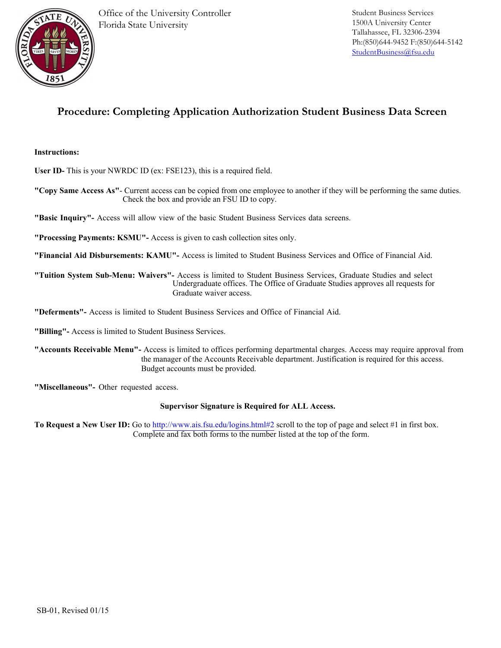

## **Procedure: Completing Application Authorization Student Business Data Screen**

## **Instructions:**

**User ID-** This is your NWRDC ID (ex: FSE123), this is a required field.

**"Copy Same Access As"**- Current access can be copied from one employee to another if they will be performing the same duties. Check the box and provide an FSU ID to copy.

**"Basic Inquiry"-** Access will allow view of the basic Student Business Services data screens.

**"Processing Payments: KSMU"-** Access is given to cash collection sites only.

**"Financial Aid Disbursements: KAMU"-** Access is limited to Student Business Services and Office of Financial Aid.

**"Tuition System Sub-Menu: Waivers"-** Access is limited to Student Business Services, Graduate Studies and select Undergraduate offices. The Office of Graduate Studies approves all requests for Graduate waiver access.

**"Deferments"-** Access is limited to Student Business Services and Office of Financial Aid.

**"Billing"-** Access is limited to Student Business Services.

**"Accounts Receivable Menu"-** Access is limited to offices performing departmental charges. Access may require approval from the manager of the Accounts Receivable department. Justification is required for this access. Budget accounts must be provided.

**"Miscellaneous"-** Other requested access.

## **Supervisor Signature is Required for ALL Access.**

**To Request a New User ID:** Go to http://www.ais.fsu.edu/logins.html#2 scroll to the top of page and select #1 in first box. Complete and fax both forms to the number listed at the top of the form.